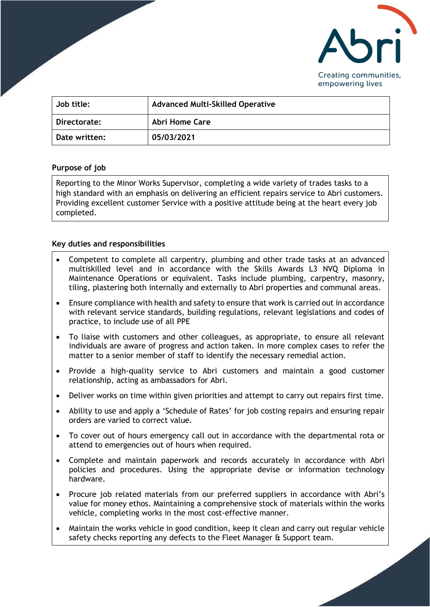

| Job title:    | <b>Advanced Multi-Skilled Operative</b> |
|---------------|-----------------------------------------|
| Directorate:  | Abri Home Care                          |
| Date written: | 05/03/2021                              |

## **Purpose of job**

Reporting to the Minor Works Supervisor, completing a wide variety of trades tasks to a high standard with an emphasis on delivering an efficient repairs service to Abri customers. Providing excellent customer Service with a positive attitude being at the heart every job completed.

## **Key duties and responsibilities**

- Competent to complete all carpentry, plumbing and other trade tasks at an advanced multiskilled level and in accordance with the Skills Awards L3 NVQ Diploma in Maintenance Operations or equivalent. Tasks include plumbing, carpentry, masonry, tiling, plastering both internally and externally to Abri properties and communal areas.
- Ensure compliance with health and safety to ensure that work is carried out in accordance with relevant service standards, building regulations, relevant legislations and codes of practice, to include use of all PPE
- To liaise with customers and other colleagues, as appropriate, to ensure all relevant individuals are aware of progress and action taken. In more complex cases to refer the matter to a senior member of staff to identify the necessary remedial action.
- Provide a high-quality service to Abri customers and maintain a good customer relationship, acting as ambassadors for Abri.
- Deliver works on time within given priorities and attempt to carry out repairs first time.
- Ability to use and apply a 'Schedule of Rates' for job costing repairs and ensuring repair orders are varied to correct value.
- To cover out of hours emergency call out in accordance with the departmental rota or attend to emergencies out of hours when required.
- Complete and maintain paperwork and records accurately in accordance with Abri policies and procedures. Using the appropriate devise or information technology hardware.
- Procure job related materials from our preferred suppliers in accordance with Abri's value for money ethos. Maintaining a comprehensive stock of materials within the works vehicle, completing works in the most cost-effective manner.
- Maintain the works vehicle in good condition, keep it clean and carry out regular vehicle safety checks reporting any defects to the Fleet Manager & Support team.